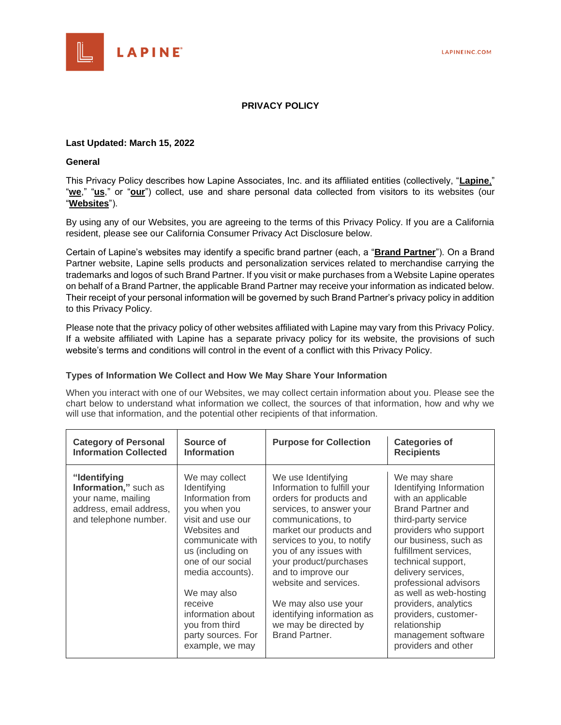

# **PRIVACY POLICY**

### **Last Updated: March 15, 2022**

### **General**

This Privacy Policy describes how Lapine Associates, Inc. and its affiliated entities (collectively, "**Lapine**," "we," "us," or "our") collect, use and share personal data collected from visitors to its websites (our "**Websites**").

By using any of our Websites, you are agreeing to the terms of this Privacy Policy. If you are a California resident, please see our California Consumer Privacy Act Disclosure below.

Certain of Lapine's websites may identify a specific brand partner (each, a "**Brand Partner**"). On a Brand Partner website, Lapine sells products and personalization services related to merchandise carrying the trademarks and logos of such Brand Partner. If you visit or make purchases from a Website Lapine operates on behalf of a Brand Partner, the applicable Brand Partner may receive your information as indicated below. Their receipt of your personal information will be governed by such Brand Partner's privacy policy in addition to this Privacy Policy.

Please note that the privacy policy of other websites affiliated with Lapine may vary from this Privacy Policy. If a website affiliated with Lapine has a separate privacy policy for its website, the provisions of such website's terms and conditions will control in the event of a conflict with this Privacy Policy.

### **Types of Information We Collect and How We May Share Your Information**

When you interact with one of our Websites, we may collect certain information about you. Please see the chart below to understand what information we collect, the sources of that information, how and why we will use that information, and the potential other recipients of that information.

| <b>Category of Personal</b>                                                                                     | Source of                                                                                                                                                                                                                                                                                         | <b>Purpose for Collection</b>                                                                                                                                                                                                                                                                                                                                                               | <b>Categories of</b>                                                                                                                                                                                                                                                                                                                                                                                     |
|-----------------------------------------------------------------------------------------------------------------|---------------------------------------------------------------------------------------------------------------------------------------------------------------------------------------------------------------------------------------------------------------------------------------------------|---------------------------------------------------------------------------------------------------------------------------------------------------------------------------------------------------------------------------------------------------------------------------------------------------------------------------------------------------------------------------------------------|----------------------------------------------------------------------------------------------------------------------------------------------------------------------------------------------------------------------------------------------------------------------------------------------------------------------------------------------------------------------------------------------------------|
| <b>Information Collected</b>                                                                                    | <b>Information</b>                                                                                                                                                                                                                                                                                |                                                                                                                                                                                                                                                                                                                                                                                             | <b>Recipients</b>                                                                                                                                                                                                                                                                                                                                                                                        |
| "Identifying<br>Information," such as<br>your name, mailing<br>address, email address,<br>and telephone number. | We may collect<br>Identifying<br>Information from<br>you when you<br>visit and use our<br>Websites and<br>communicate with<br>us (including on<br>one of our social<br>media accounts).<br>We may also<br>receive<br>information about<br>you from third<br>party sources. For<br>example, we may | We use Identifying<br>Information to fulfill your<br>orders for products and<br>services, to answer your<br>communications, to<br>market our products and<br>services to you, to notify<br>you of any issues with<br>your product/purchases<br>and to improve our<br>website and services.<br>We may also use your<br>identifying information as<br>we may be directed by<br>Brand Partner. | We may share<br>Identifying Information<br>with an applicable<br><b>Brand Partner and</b><br>third-party service<br>providers who support<br>our business, such as<br>fulfillment services.<br>technical support,<br>delivery services,<br>professional advisors<br>as well as web-hosting<br>providers, analytics<br>providers, customer-<br>relationship<br>management software<br>providers and other |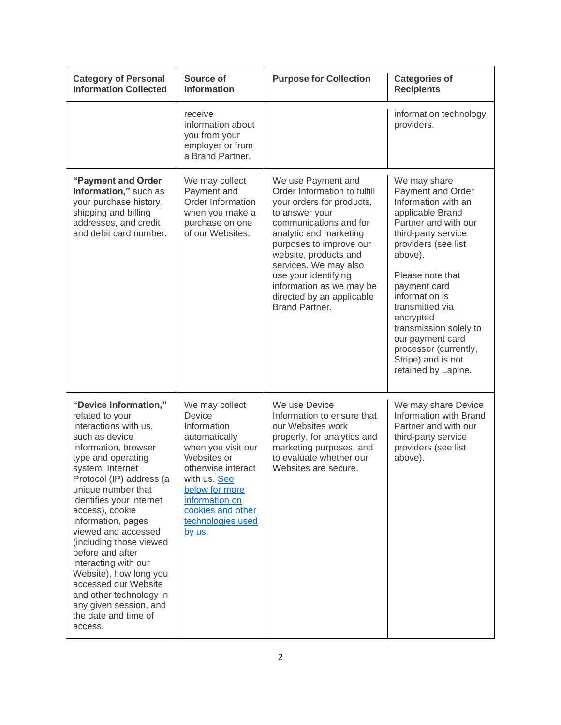| <b>Category of Personal</b><br><b>Information Collected</b>                                                                                                                                                                                                                                                                                                                                                                                                                                                          | Source of<br><b>Information</b>                                                                                                                                                                                             | <b>Purpose for Collection</b>                                                                                                                                                                                                                                                                                                                | <b>Categories of</b><br><b>Recipients</b>                                                                                                                                                                                                                                                                                                                               |
|----------------------------------------------------------------------------------------------------------------------------------------------------------------------------------------------------------------------------------------------------------------------------------------------------------------------------------------------------------------------------------------------------------------------------------------------------------------------------------------------------------------------|-----------------------------------------------------------------------------------------------------------------------------------------------------------------------------------------------------------------------------|----------------------------------------------------------------------------------------------------------------------------------------------------------------------------------------------------------------------------------------------------------------------------------------------------------------------------------------------|-------------------------------------------------------------------------------------------------------------------------------------------------------------------------------------------------------------------------------------------------------------------------------------------------------------------------------------------------------------------------|
|                                                                                                                                                                                                                                                                                                                                                                                                                                                                                                                      | receive<br>information about<br>you from your<br>employer or from<br>a Brand Partner.                                                                                                                                       |                                                                                                                                                                                                                                                                                                                                              | information technology<br>providers.                                                                                                                                                                                                                                                                                                                                    |
| "Payment and Order<br>Information," such as<br>your purchase history,<br>shipping and billing<br>addresses, and credit<br>and debit card number.                                                                                                                                                                                                                                                                                                                                                                     | We may collect<br>Payment and<br>Order Information<br>when you make a<br>purchase on one<br>of our Websites.                                                                                                                | We use Payment and<br>Order Information to fulfill<br>your orders for products,<br>to answer your<br>communications and for<br>analytic and marketing<br>purposes to improve our<br>website, products and<br>services. We may also<br>use your identifying<br>information as we may be<br>directed by an applicable<br><b>Brand Partner.</b> | We may share<br>Payment and Order<br>Information with an<br>applicable Brand<br>Partner and with our<br>third-party service<br>providers (see list<br>above).<br>Please note that<br>payment card<br>information is<br>transmitted via<br>encrypted<br>transmission solely to<br>our payment card<br>processor (currently,<br>Stripe) and is not<br>retained by Lapine. |
| "Device Information,"<br>related to your<br>interactions with us,<br>such as device<br>information, browser<br>type and operating<br>system, Internet<br>Protocol (IP) address (a<br>unique number that<br>identifies your internet<br>access), cookie<br>information, pages<br>viewed and accessed<br>(including those viewed<br>before and after<br>interacting with our<br>Website), how long you<br>accessed our Website<br>and other technology in<br>any given session, and<br>the date and time of<br>access. | We may collect<br>Device<br>Information<br>automatically<br>when you visit our<br>Websites or<br>otherwise interact<br>with us. See<br>below for more<br>information on<br>cookies and other<br>technologies used<br>by us. | We use Device<br>Information to ensure that<br>our Websites work<br>properly, for analytics and<br>marketing purposes, and<br>to evaluate whether our<br>Websites are secure.                                                                                                                                                                | We may share Device<br>Information with Brand<br>Partner and with our<br>third-party service<br>providers (see list<br>above).                                                                                                                                                                                                                                          |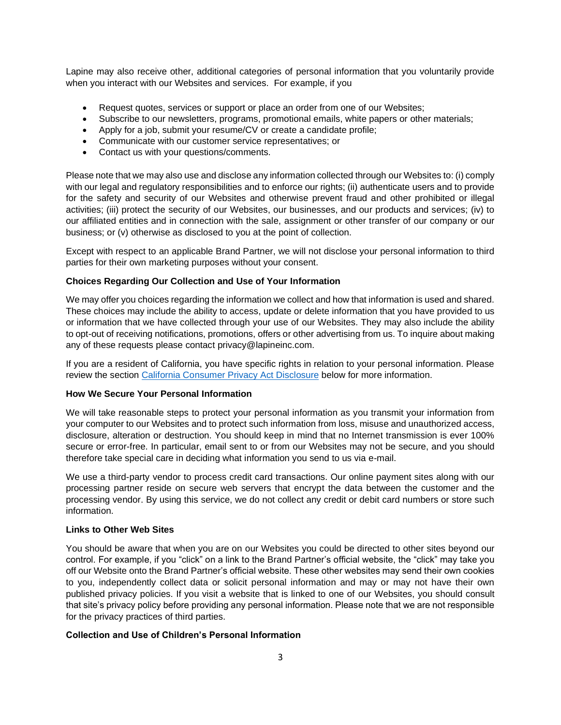Lapine may also receive other, additional categories of personal information that you voluntarily provide when you interact with our Websites and services. For example, if you

- Request quotes, services or support or place an order from one of our Websites;
- Subscribe to our newsletters, programs, promotional emails, white papers or other materials;
- Apply for a job, submit your resume/CV or create a candidate profile;
- Communicate with our customer service representatives; or
- Contact us with your questions/comments.

Please note that we may also use and disclose any information collected through our Websites to: (i) comply with our legal and regulatory responsibilities and to enforce our rights; (ii) authenticate users and to provide for the safety and security of our Websites and otherwise prevent fraud and other prohibited or illegal activities; (iii) protect the security of our Websites, our businesses, and our products and services; (iv) to our affiliated entities and in connection with the sale, assignment or other transfer of our company or our business; or (v) otherwise as disclosed to you at the point of collection.

Except with respect to an applicable Brand Partner, we will not disclose your personal information to third parties for their own marketing purposes without your consent.

### **Choices Regarding Our Collection and Use of Your Information**

We may offer you choices regarding the information we collect and how that information is used and shared. These choices may include the ability to access, update or delete information that you have provided to us or information that we have collected through your use of our Websites. They may also include the ability to opt-out of receiving notifications, promotions, offers or other advertising from us. To inquire about making any of these requests please contact privacy@lapineinc.com.

If you are a resident of California, you have specific rights in relation to your personal information. Please review the section [California Consumer Privacy Act Disclosure](#page-5-0) below for more information.

### **How We Secure Your Personal Information**

We will take reasonable steps to protect your personal information as you transmit your information from your computer to our Websites and to protect such information from loss, misuse and unauthorized access, disclosure, alteration or destruction. You should keep in mind that no Internet transmission is ever 100% secure or error-free. In particular, email sent to or from our Websites may not be secure, and you should therefore take special care in deciding what information you send to us via e-mail.

We use a third-party vendor to process credit card transactions. Our online payment sites along with our processing partner reside on secure web servers that encrypt the data between the customer and the processing vendor. By using this service, we do not collect any credit or debit card numbers or store such information.

# **Links to Other Web Sites**

You should be aware that when you are on our Websites you could be directed to other sites beyond our control. For example, if you "click" on a link to the Brand Partner's official website, the "click" may take you off our Website onto the Brand Partner's official website. These other websites may send their own cookies to you, independently collect data or solicit personal information and may or may not have their own published privacy policies. If you visit a website that is linked to one of our Websites, you should consult that site's privacy policy before providing any personal information. Please note that we are not responsible for the privacy practices of third parties.

### **Collection and Use of Children's Personal Information**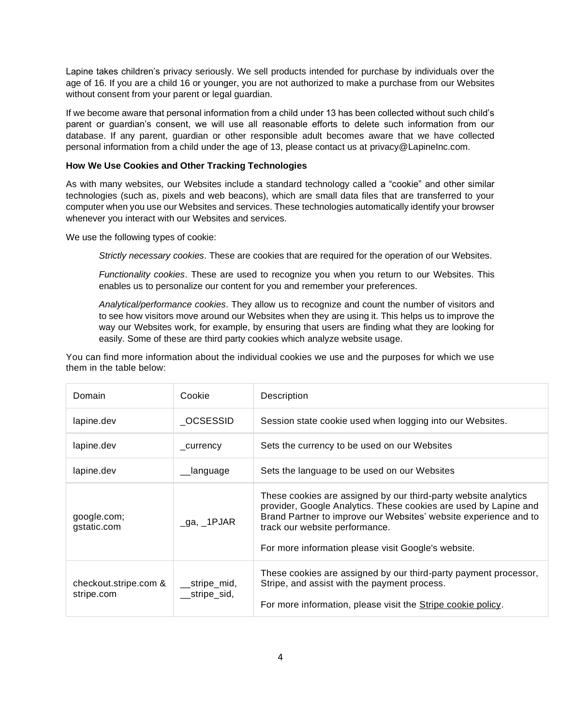Lapine takes children's privacy seriously. We sell products intended for purchase by individuals over the age of 16. If you are a child 16 or younger, you are not authorized to make a purchase from our Websites without consent from your parent or legal guardian.

If we become aware that personal information from a child under 13 has been collected without such child's parent or guardian's consent, we will use all reasonable efforts to delete such information from our database. If any parent, guardian or other responsible adult becomes aware that we have collected personal information from a child under the age of 13, please contact us at privacy@LapineInc.com.

### <span id="page-3-0"></span>**How We Use Cookies and Other Tracking Technologies**

As with many websites, our Websites include a standard technology called a "cookie" and other similar technologies (such as, pixels and web beacons), which are small data files that are transferred to your computer when you use our Websites and services. These technologies automatically identify your browser whenever you interact with our Websites and services.

We use the following types of cookie:

*Strictly necessary cookies*. These are cookies that are required for the operation of our Websites.

*Functionality cookies*. These are used to recognize you when you return to our Websites. This enables us to personalize our content for you and remember your preferences.

*Analytical/performance cookies*. They allow us to recognize and count the number of visitors and to see how visitors move around our Websites when they are using it. This helps us to improve the way our Websites work, for example, by ensuring that users are finding what they are looking for easily. Some of these are third party cookies which analyze website usage.

You can find more information about the individual cookies we use and the purposes for which we use them in the table below:

| Domain                              | Cookie                         | Description                                                                                                                                                                                                                                                                                      |
|-------------------------------------|--------------------------------|--------------------------------------------------------------------------------------------------------------------------------------------------------------------------------------------------------------------------------------------------------------------------------------------------|
| lapine.dev                          | OCSESSID                       | Session state cookie used when logging into our Websites.                                                                                                                                                                                                                                        |
| lapine.dev                          | currency                       | Sets the currency to be used on our Websites                                                                                                                                                                                                                                                     |
| lapine.dev                          | language                       | Sets the language to be used on our Websites                                                                                                                                                                                                                                                     |
| google.com;<br>gstatic.com          | _ga, _1PJAR                    | These cookies are assigned by our third-party website analytics<br>provider, Google Analytics. These cookies are used by Lapine and<br>Brand Partner to improve our Websites' website experience and to<br>track our website performance.<br>For more information please visit Google's website. |
| checkout.stripe.com &<br>stripe.com | __stripe_mid,<br>__stripe_sid, | These cookies are assigned by our third-party payment processor,<br>Stripe, and assist with the payment process.<br>For more information, please visit the Stripe cookie policy.                                                                                                                 |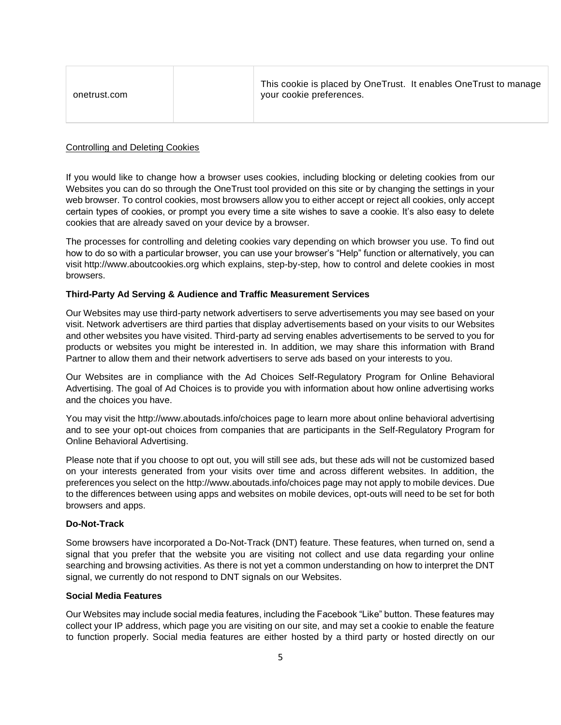| onetrust.com | This cookie is placed by OneTrust. It enables OneTrust to manage<br>your cookie preferences. |
|--------------|----------------------------------------------------------------------------------------------|
|              |                                                                                              |

### Controlling and Deleting Cookies

If you would like to change how a browser uses cookies, including blocking or deleting cookies from our Websites you can do so through the OneTrust tool provided on this site or by changing the settings in your web browser. To control cookies, most browsers allow you to either accept or reject all cookies, only accept certain types of cookies, or prompt you every time a site wishes to save a cookie. It's also easy to delete cookies that are already saved on your device by a browser.

The processes for controlling and deleting cookies vary depending on which browser you use. To find out how to do so with a particular browser, you can use your browser's "Help" function or alternatively, you can visit http://www.aboutcookies.org which explains, step-by-step, how to control and delete cookies in most browsers.

#### **Third-Party Ad Serving & Audience and Traffic Measurement Services**

Our Websites may use third-party network advertisers to serve advertisements you may see based on your visit. Network advertisers are third parties that display advertisements based on your visits to our Websites and other websites you have visited. Third-party ad serving enables advertisements to be served to you for products or websites you might be interested in. In addition, we may share this information with Brand Partner to allow them and their network advertisers to serve ads based on your interests to you.

Our Websites are in compliance with the Ad Choices Self-Regulatory Program for Online Behavioral Advertising. The goal of Ad Choices is to provide you with information about how online advertising works and the choices you have.

You may visit the http://www.aboutads.info/choices page to learn more about online behavioral advertising and to see your opt-out choices from companies that are participants in the Self-Regulatory Program for Online Behavioral Advertising.

Please note that if you choose to opt out, you will still see ads, but these ads will not be customized based on your interests generated from your visits over time and across different websites. In addition, the preferences you select on the http://www.aboutads.info/choices page may not apply to mobile devices. Due to the differences between using apps and websites on mobile devices, opt-outs will need to be set for both browsers and apps.

#### **Do-Not-Track**

Some browsers have incorporated a Do-Not-Track (DNT) feature. These features, when turned on, send a signal that you prefer that the website you are visiting not collect and use data regarding your online searching and browsing activities. As there is not yet a common understanding on how to interpret the DNT signal, we currently do not respond to DNT signals on our Websites.

#### **Social Media Features**

Our Websites may include social media features, including the Facebook "Like" button. These features may collect your IP address, which page you are visiting on our site, and may set a cookie to enable the feature to function properly. Social media features are either hosted by a third party or hosted directly on our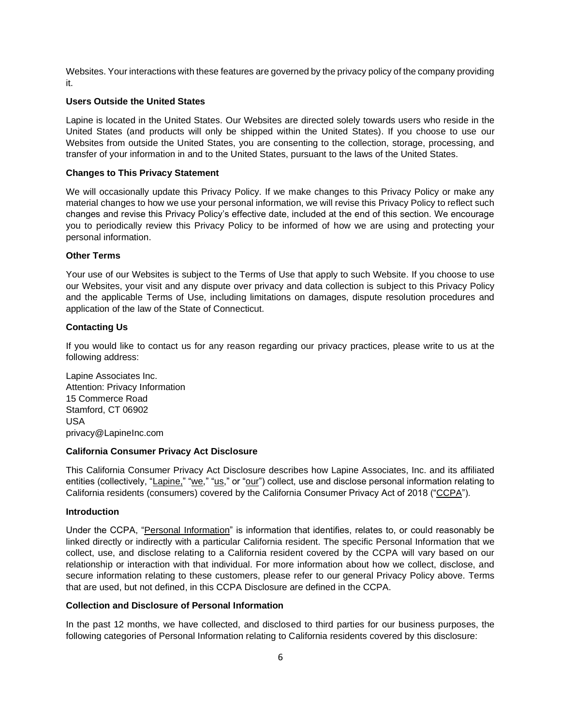Websites. Your interactions with these features are governed by the privacy policy of the company providing it.

### **Users Outside the United States**

Lapine is located in the United States. Our Websites are directed solely towards users who reside in the United States (and products will only be shipped within the United States). If you choose to use our Websites from outside the United States, you are consenting to the collection, storage, processing, and transfer of your information in and to the United States, pursuant to the laws of the United States.

#### **Changes to This Privacy Statement**

We will occasionally update this Privacy Policy. If we make changes to this Privacy Policy or make any material changes to how we use your personal information, we will revise this Privacy Policy to reflect such changes and revise this Privacy Policy's effective date, included at the end of this section. We encourage you to periodically review this Privacy Policy to be informed of how we are using and protecting your personal information.

#### **Other Terms**

Your use of our Websites is subject to the Terms of Use that apply to such Website. If you choose to use our Websites, your visit and any dispute over privacy and data collection is subject to this Privacy Policy and the applicable Terms of Use, including limitations on damages, dispute resolution procedures and application of the law of the State of Connecticut.

### **Contacting Us**

If you would like to contact us for any reason regarding our privacy practices, please write to us at the following address:

Lapine Associates Inc. Attention: Privacy Information 15 Commerce Road Stamford, CT 06902 USA privacy@LapineInc.com

#### <span id="page-5-0"></span>**California Consumer Privacy Act Disclosure**

This California Consumer Privacy Act Disclosure describes how Lapine Associates, Inc. and its affiliated entities (collectively, "Lapine," "we," "us," or "our") collect, use and disclose personal information relating to California residents (consumers) covered by the California Consumer Privacy Act of 2018 ("CCPA").

#### **Introduction**

Under the CCPA, "Personal Information" is information that identifies, relates to, or could reasonably be linked directly or indirectly with a particular California resident. The specific Personal Information that we collect, use, and disclose relating to a California resident covered by the CCPA will vary based on our relationship or interaction with that individual. For more information about how we collect, disclose, and secure information relating to these customers, please refer to our general Privacy Policy above. Terms that are used, but not defined, in this CCPA Disclosure are defined in the CCPA.

### **Collection and Disclosure of Personal Information**

In the past 12 months, we have collected, and disclosed to third parties for our business purposes, the following categories of Personal Information relating to California residents covered by this disclosure: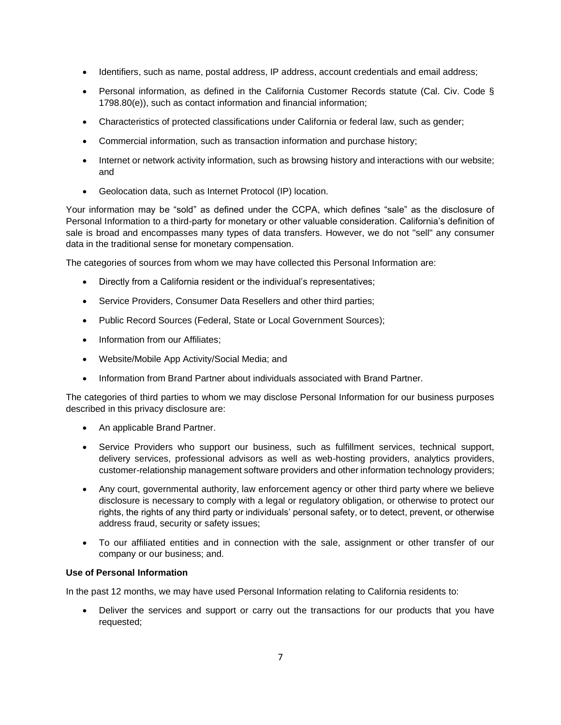- Identifiers, such as name, postal address, IP address, account credentials and email address;
- Personal information, as defined in the California Customer Records statute (Cal. Civ. Code § 1798.80(e)), such as contact information and financial information;
- Characteristics of protected classifications under California or federal law, such as gender;
- Commercial information, such as transaction information and purchase history;
- Internet or network activity information, such as browsing history and interactions with our website; and
- Geolocation data, such as Internet Protocol (IP) location.

Your information may be "sold" as defined under the CCPA, which defines "sale" as the disclosure of Personal Information to a third-party for monetary or other valuable consideration. California's definition of sale is broad and encompasses many types of data transfers. However, we do not "sell" any consumer data in the traditional sense for monetary compensation.

The categories of sources from whom we may have collected this Personal Information are:

- Directly from a California resident or the individual's representatives;
- Service Providers, Consumer Data Resellers and other third parties;
- Public Record Sources (Federal, State or Local Government Sources);
- Information from our Affiliates;
- Website/Mobile App Activity/Social Media; and
- Information from Brand Partner about individuals associated with Brand Partner.

The categories of third parties to whom we may disclose Personal Information for our business purposes described in this privacy disclosure are:

- An applicable Brand Partner.
- Service Providers who support our business, such as fulfillment services, technical support, delivery services, professional advisors as well as web-hosting providers, analytics providers, customer-relationship management software providers and other information technology providers;
- Any court, governmental authority, law enforcement agency or other third party where we believe disclosure is necessary to comply with a legal or regulatory obligation, or otherwise to protect our rights, the rights of any third party or individuals' personal safety, or to detect, prevent, or otherwise address fraud, security or safety issues;
- To our affiliated entities and in connection with the sale, assignment or other transfer of our company or our business; and.

### **Use of Personal Information**

In the past 12 months, we may have used Personal Information relating to California residents to:

• Deliver the services and support or carry out the transactions for our products that you have requested;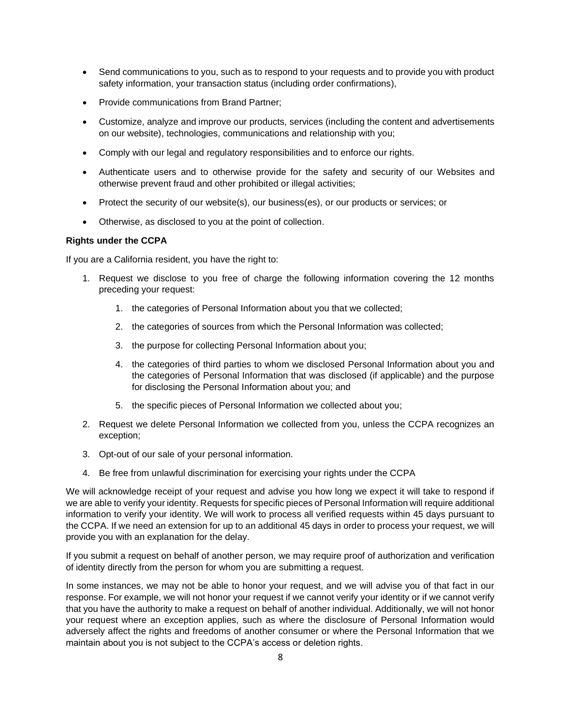- Send communications to you, such as to respond to your requests and to provide you with product safety information, your transaction status (including order confirmations),
- Provide communications from Brand Partner;
- Customize, analyze and improve our products, services (including the content and advertisements on our website), technologies, communications and relationship with you;
- Comply with our legal and regulatory responsibilities and to enforce our rights.
- Authenticate users and to otherwise provide for the safety and security of our Websites and otherwise prevent fraud and other prohibited or illegal activities;
- Protect the security of our website(s), our business(es), or our products or services; or
- Otherwise, as disclosed to you at the point of collection.

### **Rights under the CCPA**

If you are a California resident, you have the right to:

- 1. Request we disclose to you free of charge the following information covering the 12 months preceding your request:
	- 1. the categories of Personal Information about you that we collected;
	- 2. the categories of sources from which the Personal Information was collected;
	- 3. the purpose for collecting Personal Information about you;
	- 4. the categories of third parties to whom we disclosed Personal Information about you and the categories of Personal Information that was disclosed (if applicable) and the purpose for disclosing the Personal Information about you; and
	- 5. the specific pieces of Personal Information we collected about you;
- 2. Request we delete Personal Information we collected from you, unless the CCPA recognizes an exception;
- 3. Opt-out of our sale of your personal information.
- 4. Be free from unlawful discrimination for exercising your rights under the CCPA

We will acknowledge receipt of your request and advise you how long we expect it will take to respond if we are able to verify your identity. Requests for specific pieces of Personal Information will require additional information to verify your identity. We will work to process all verified requests within 45 days pursuant to the CCPA. If we need an extension for up to an additional 45 days in order to process your request, we will provide you with an explanation for the delay.

If you submit a request on behalf of another person, we may require proof of authorization and verification of identity directly from the person for whom you are submitting a request.

In some instances, we may not be able to honor your request, and we will advise you of that fact in our response. For example, we will not honor your request if we cannot verify your identity or if we cannot verify that you have the authority to make a request on behalf of another individual. Additionally, we will not honor your request where an exception applies, such as where the disclosure of Personal Information would adversely affect the rights and freedoms of another consumer or where the Personal Information that we maintain about you is not subject to the CCPA's access or deletion rights.